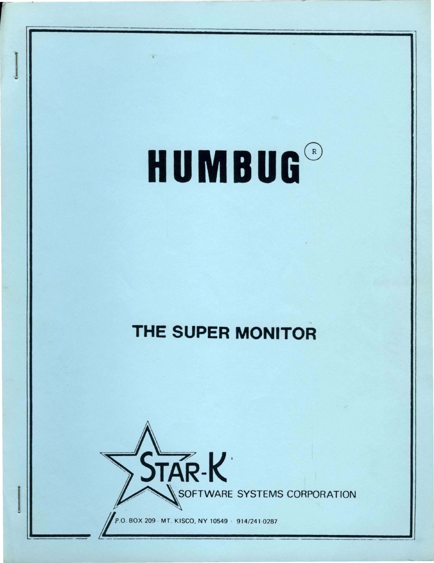# **HUMBUG®**

## **THE SUPER MONITOR**



--

P.O. BOX 209 · MT. KISCO, NY 10549 · 914/241-0287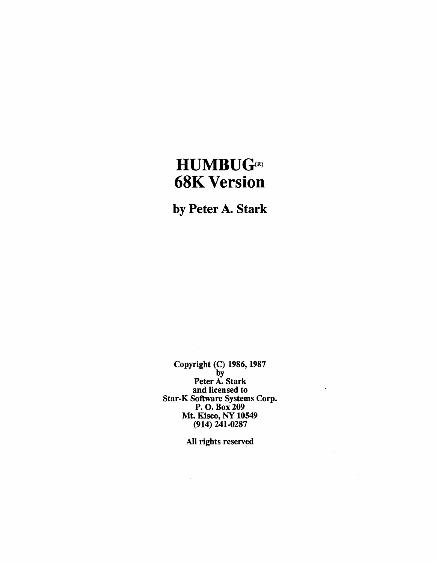### $HUMBUG<sub>(R)</sub>$ **68K Version**

by Peter A. Stark

Copyright (C) 1986, 1987 by Peter A. Stark and licensed to Star-K Software Systems Corp. P. o. Box 209 Mt. Kisco, NY 10549 (914) 241-0287

All rights reserved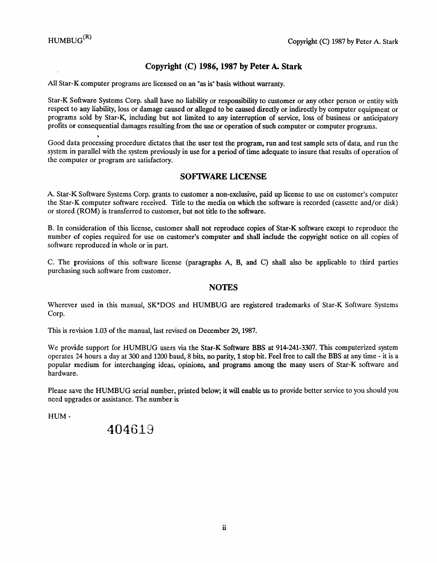#### **Copyright** (C) **1986,1987 by Peter A. Stark**

All Star-K computer programs are licensed on an "as is" basis without warranty.

Star-K Software Systems Corp. shall have no liability or responsibility to customer or any other person or entity with respect to any liability, loss or damage caused or alleged to be caused directly or indirectly by computer equipment or programs sold by Star-K, including but not limited to any interruption of service, loss of business or anticipatory profits or consequential damages resulting from the use or operation of such computer or computer programs.

Good data processing procedure dictates that the user test the program, run and test sample sets of data, and run the system in parallel with the system previously in use for a period of time adequate to insure that results of operation of the computer or program are satisfactory.

#### SOFtWARE **LICENSE**

A. Star-K Software Systems Corp. grants to customer a non-exclusive, paid up license to use on customer's computer the Star-K computer software received. Title to the media on which the software is recorded (cassette and/or disk) or stored (ROM) is transferred to customer, but not title to the software.

B. In consideration of this license, customer shall not reproduce copies of Star-K software except to reproduce the number of copies required for use on customer's computer and shall include the copyright notice on all copies of software reproduced in whole or in part.

C. The provisions of this software license (paragraphs A, B, and C) shall also be applicable to third parties purchasing such software from customer.

#### **NOTES**

Wherever used in this manual, SK\*DOS and HUMBUG are registered trademarks of Star-K Software Systems Corp.

This is revision 1.03 of the manual, last revised on December 29,1987.

We provide support for HUMBUG users via the Star-K Software BBS at 914-241-3307. This computerized system operates 24 hours a day at 300 and 1200 baud, 8 bits, no parity, 1 stop bit. Feel free to call the BBS at any time - it is a popular medium for interchanging ideas, opinions, and programs among the many users of Star-K software and hardware.

Please save the HUMBUG serial number, printed below; it will enable us to provide better service to you should you need upgrades or assistance. The number is

HUM-

#### 404619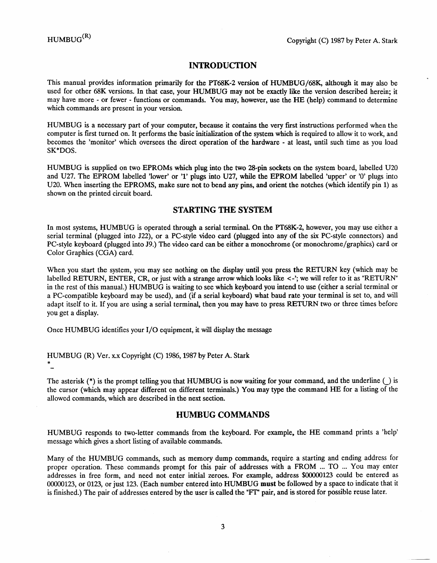\*

#### INTRODUCTION

This manual provides information primarily for the PT68K-2 version of HUMBUG/68K, although it may also be used for other 68K versions. In that case, your HUMBUG may not be exactly like the version described herein; it may have more - or fewer - functions or commands. You may, however, use the HE (help) command to determine which commands are present in your version.

HUMBUG is a necessary part of your computer, because it contains the very first instructions performed when the computer is first turned on. It performs the basic initialization of the system which is required to allow it to work, and becomes the 'monitor' which oversees the direct operation of the hardware - at least, until such time as you load SK\*DOS.

HUMBUG is supplied on two EPROMs which plug into the two 28-pin sockets on the system board, labelled U20 and U27. The EPROM labelled 'lower' or '1' plugs into U27, while the EPROM labelled 'upper' or '0' plugs into U20. When inserting the EPROMS, make sure not to bend any pins, and orient the notches (which identify pin 1) as shown on the printed circuit board.

#### STARTING THE SYSTEM

In most systems, HUMBUG is operated through a serial terminal. On the PT68K-2, however, you may use either a serial terminal (plugged into J22), or a PC-style video card (plugged into any of the six PC-style connectors) and PC-style keyboard (plugged into J9.) The video card can be either a monochrome (or monochrome/graphics) card or Color Graphics (CGA) card.

When you start the system, you may see nothing on the display until you press the RETURN key (which may be labelled RETURN, ENTER, CR, or just with a strange arrow which looks like  $\lt$ -'; we will refer to it as "RETURN" in the rest of this manual.) HUMBUG is waiting to see which keyboard you intend to use (either a serial terminal or a PC-compatible keyboard may be used), and (if a serial keyboard) what baud rate your terminal is set to, and will adapt itself to it. If you are using a serial terminal, then you may have to press RETURN two or three times before you get a display.

Once HUMBUG identifies your I/O equipment, it will display the message

#### HUMBUG (R) Ver. x.x Copyright (C) 1986,1987 by Peter A. Stark

The asterisk  $(*)$  is the prompt telling you that HUMBUG is now waiting for your command, and the underline  $\bigcup$  is the cursor (which may appear different on different terminals.) You may type the command HE for a listing of the allowed commands, which are described in the next section.

#### HUMBUG COMMANDS

HUMBUG responds to two-letter commands from the keyboard. For example, the HE command prints a 'help' message which gives a short listing of available commands.

Many of the HUMBUG commands, such as memory dump commands, require a starting and ending address for proper operation. These commands prompt for this pair of addresses with a FROM ... TO ... You may enter addresses in free form, and need not enter initial zeroes. For example, address \$00000123 could be entered as 00000123, or 0123, or just 123. (Each number entered into HUMBUG must be followed by a space to indicate that it is finished.) The pair of addresses entered by the user is called the "Fr" pair, and is stored for possible reuse later.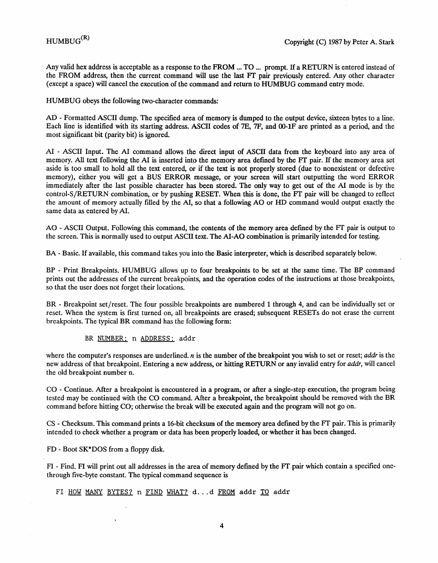Any valid hex address is acceptable as a response to the FROM ... TO ... prompt. If a RETURN is entered instead of the FROM address, then the current command will use the last FT pair previously entered. Any other character (except a space) will cancel the execution of the command and return to HUMBUG command entry mode.

HUMBUG obeys the following two-character commands:

AD - Formatted ASCII dump. The specified area of memory is dumped to the output device, sixteen bytes to a line. Each line is identified with its starting address. ASCII codes of 7E, 7F, and OO-lF are printed as a period, and the most significant bit (parity bit) is ignored.

AI - ASCII Input. The AI command allows the direct input of ASCII data from the keyboard into any area of memory. All text following the AI is inserted into the memory area defined by the FT pair. If the memory area set aside is too small to hold all the text entered, or if the text is not properly stored (due to nonexistent or defective memory), either you will get a BUS ERROR message, or your screen will start outputting the word ERROR immediately after the last possible character has been stored. The only way to get out of the AI mode is by the control-Sf RETURN combination, or by pushing RESET. When this is done, the FT pair will be changed to reflect the amount of memory actually filled by the AI, so that a following AO or HD command would output exactly the same data as entered by AI.

AO - ASCII Output. Following this command, the contents of the memory area defmed by the FT pair is output to the screen. This is normally used to output ASCII text. The AI-AO combination is primarily intended for testing.

BA - Basic. If available, this command takes you into the Basic interpreter, which is described separately below.

BP - Print Breakpoints. HUMBUG allows up to four breakpoints to be set at the same time. The BP command prints out the addresses of the current breakpoints, and the operation codes of the instructions at those breakpoints, so that the user does not forget their locations.

BR - Breakpoint set/reset. The four possible breakpoints are numbered 1 through 4, and can be individually set or reset. When the system is first turned on, all breakpoints are erased; subsequent RESETs do not erase the current breakpoints. The typical BR command has the following form:

BR NUMBER: n ADDRESS: addr

where the computer's responses are underlined.  $n$  is the number of the breakpoint you wish to set or reset; *addr* is the new address of that breakpoint. Entering a new address, or hitting RETURN or any invalid entry for *addr*, will cancel the old breakpoint number n.

CO - Continue. After a breakpoint is encountered in a program, or after a single-step execution, the program being tested may be continued with the CO command. After a breakpoint, the breakpoint should be removed with the BR command before hitting CO; otherwise the break will be executed again and the program will not go on.

CS - Checksum. This command prints a 16-bit checksum of the memory area defmed by the FT pair. This is primarily intended to check whether a program or data has been properly loaded, or whether it has been changed.

FD - Boot SK\*DOS from a floppy disk.

FI - Find. PI will print out all addresses in the area of memory defmed by the FT pair which contain a specified onethrough five-byte constant. The typical command sequence is

FI HOW MANY BYTES? n FIND WHAT? d...d FROM addr TO addr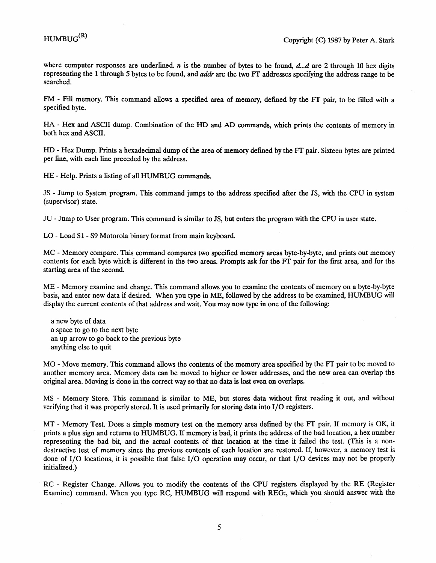where computer responses are underlined. *n* is the number of bytes to be found, d...d are 2 through 10 hex digits representing the 1 through 5 bytes to be found, and addr are the two Ff addresses specifying the address range to be searched.

FM - Fill memory. This command allows a specified area of memory, defmed by the Ff pair, to be filled with a specified byte.

HA - Hex and ASCII dump. Combination of the HD and AD commands, which prints the contents of memory in both hex and ASCII.

HD - Hex Dump. Prints a hexadecimal dump of the area of memory defmed by the FT pair. Sixteen bytes are printed per line, with each line preceded by the address.

HE - Help. Prints a listing of all HUMBUG commands.

JS - Jump to System program. This command jumps to the address specified after the JS, with the CPU in system (supervisor) state.

JU - Jump to User program. This command is similar to JS, but enters the program with the CPU in user state.

LO - Load Sl- S9 Motorola binary format from main keyboard.

MC - Memory compare. This command compares two specified memory areas byte-by-byte, and prints out memory contents for each byte which is different in the two areas. Prompts ask for the FT pair for the first area, and for the starting area of the second.

ME - Memory examine and change. This command allows you to examine the contents of memory on a byte-by-byte basis, and enter new data if desired. When you type in ME, followed by the address to be examined, HUMBUG will display the current contents of that address and wait. You may now type in one of the following:

a new byte of data a space to go to the next byte an up arrow to go back to the previous byte anything else to quit

MO - Move memory. This command allows the contents of the memory area specified by the FT pair to be moved to another memory area. Memory data can be moved to higher or lower addresses, and the new area can overlap the original area. Moving is done in the correct way so that no data is lost even on overlaps.

MS - Memory Store. This command is similar to ME, but stores data without frrst reading it out, and without verifying that it was properly stored. It is used primarily for storing data into I/O registers.

MT - Memory Test. Does a simple memory test on the memory area defmed by the FT pair. If memory is OK, it prints a plus sign and returns to HUMBUG. If memory is bad, it prints the address of the bad location, a hex number representing the bad bit, and the actual contents of that location at the time it failed the test. (This is a nondestructive test of memory since the previous contents of each location are restored. If, however, a memory test is done of I/O locations, it is possible that false I/O operation may occur, or that I/O devices may not be properly initialized. )

RC - Register Change. Allows you to modify the contents of the CPU registers displayed by the RE (Register Examine) command. When you type RC, HUMBUG will respond with REG:, which you should answer with the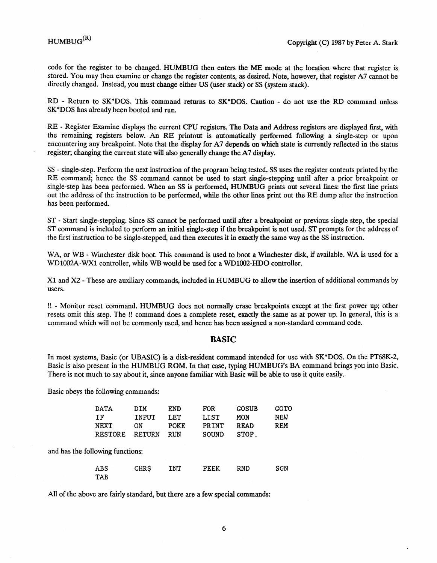code for the register to be changed. HUMBUG then enters the ME mode at the location where that register is stored. You may then examine or change the register contents, as desired. Note, however, that register A7 cannot be directly changed. Instead, you must change either US (user stack) or SS (system stack).

RD - Return to SK\*DOS. This command returns to SK\*DOS. Caution - do not use the RD command unless SK\*DOS has already been booted and run.

RE - Register Examine displays the current CPU registers. The Data and Address registers are displayed frrst, with the remaining registers below. An RE printout is automatically performed following a single-step or upon encountering any breakpoint. Note that the display for A7 depends on which state is currently reflected in the status register; changing the current state will also generally change the A7 display.

SS - single-step. Perform the next instruction of the program being tested. SS uses the register contents printed by the RE command; hence the SS command cannot be used to start single-stepping until after a prior breakpoint or single-step has been performed. When an SS is performed, HUMBUG prints out several lines: the frrst line prints out the address of the instruction to be performed, while the other lines print out the RE dump after the instruction has been performed.

ST - Start single-stepping. Since SS cannot be performed until after a breakpoint or previous single step, the special ST command is included to perform an initial single-step if the breakpoint is not used. ST prompts for the address of the first instruction to be single-stepped, and then executes it in exactly the same way as the SS instruction.

WA, or WB - Winchester disk boot. This command is used to boot a Winchester disk, if available. WA is used for a WDIOO2A-WXl controller, while WB would be used for a WDlOO2-HDO controller.

Xl and X2 - These are auxiliary commands, included in HUMBUG to allow the insertion of additional commands by users.

!! - Monitor reset command. HUMBUG does not normally erase breakpoints except at the frrst power up; other resets omit this step. The !! command does a complete reset, exactly the same as at power up. In general, this is a command which will not be commonly used, and hence has been assigned a non-standard command code.

#### **BASIC**

In most systems, Basic (or UBASIC) is a disk-resident command intended for use with SK\*DOS. On the PT68K-2, Basic is also present in the HUMBUG ROM. In that case, typing HUMBUG's BA command brings you into Basic. There is not much to say about it, since anyone familiar with Basic will be able to use it quite easily.

Basic obeys the following commands:

TAB

and has the following

| DATA               | DIM           | END        | <b>FOR</b>   | <b>GOSUB</b> | <b>GOTO</b> |
|--------------------|---------------|------------|--------------|--------------|-------------|
| ΙF                 | <b>INPUT</b>  | LET        | <b>LIST</b>  | MON          | <b>NEW</b>  |
| <b>NEXT</b>        | ON            | POKE       | PRINT        | <b>READ</b>  | <b>REM</b>  |
| <b>RESTORE</b>     | <b>RETURN</b> | <b>RUN</b> | <b>SOUND</b> | STOP.        |             |
| llowing functions: |               |            |              |              |             |

ABS CHR\$ INT PEEK RND SGN

All of the above are fairly standard, but there are a few special commands: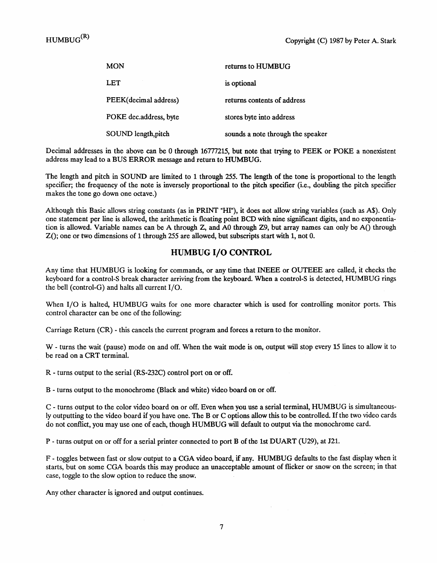| MON                    | returns to HUMBUG                 |
|------------------------|-----------------------------------|
| LET                    | is optional                       |
| PEEK(decimal address)  | returns contents of address       |
| POKE dec.address, byte | stores byte into address          |
| SOUND length, pitch    | sounds a note through the speaker |

Decimal addresses in the above can be 0 through 16777215, but note that trying to PEEK or POKE a nonexistent address may lead to a BUS ERROR message and return to HUMBUG.

The length and pitch in SOUND are limited to 1 through 255. The length of the tone is proportional to the length specifier; the frequency of the note is inversely proportional to the pitch specifier (i.e., doubling the pitch specifier makes the tone go down one octave.)

Although this Basic allows string constants (as in PRINT "HI"), it does not allow string variables (such as A\$). Only one statement per line is allowed, the arithmetic is floating point BCD with nine significant digits, and no exponentiation is allowed. Variable names can be A through Z, and A0 through Z9, but array names can only be A() through  $Z()$ ; one or two dimensions of 1 through 255 are allowed, but subscripts start with 1, not 0.

#### HUMBUG I/O CONTROL

Any time that HUMBUG is looking for commands, or any time that INEEE or OUTEEE are called, it checks the keyboard for a control-S break character arriving from the keyboard. When a control-S is detected, HUMBUG rings the bell (control-G) and halts all current I/O.

When I/O is halted, HUMBUG waits for one more character which is used for controlling monitor ports. This control character can be one of the following:

Carriage Return (CR) - this cancels the current program and forces a return to the monitor.

W - turns the wait (pause) mode on and off. When the wait mode is on, output will stop every 15 lines to allow it to be read on a CRT terminal.

R - turns output to the serial (RS-232C) control port on or off.

B - turns output to the monochrome (Black and white) video board on or off.

C - turns output to the color video board on or off. Even when you use a serial terminal, HUMBUG is simultaneously outputting to the video board if you have one. The B or C options allow this to be controlled. If the two video cards do not conflict, you may use one of each, though HUMBUG will default to output via the monochrome card.

P - turns output on or off for a serial printer connected to port B of the 1st DUART (U29), at J21.

F - toggles between fast or slow output to a CGA video board, if any. HUMBUG defaults to the fast display when it starts, but on some CGA boards this may produce an unacceptable amount of flicker or snow on the screen; in that case, toggle to the slow option to reduce the snow.

Any other character is ignored and output continues.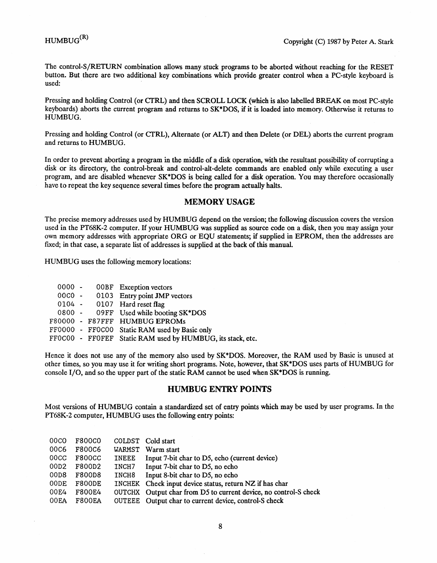The control-S/RETURN combination allows many stuck programs to be aborted without reaching for the RESET button. But there are two additional key combinations which provide greater control when a PC-style keyboard is used:

Pressing and holding Control (or CTRL) and then SCROLL LOCK (which is also labelled BREAK on most PC-style keyboards) aborts the current program and returns to SK\*DOS, if it is loaded into memory. Otherwise it returns to HUMBUG.

Pressing and holding Control (or CTRL), Alternate (or ALT) and then Delete (or DEL) aborts the current program and returns to HUMBUG.

In order to prevent aborting a program in the middle of a disk operation, with the resultant possibility of corrupting a disk or its directory, the control-break and control-alt-delete commands are enabled only while executing a user program, and are disabled whenever SK\*DOS is being called for a disk operation. You may therefore occasionally have to repeat the key sequence several times before the program actually halts.

#### **MEMORY USAGE**

The precise memory addresses used by HUMBUG depend on the version; the following discussion covers the version used in the PT68K-2 computer. If your HUMBUG was supplied as source code on a disk, then you may assign your own memory addresses with appropriate ORG or EQU statements; if supplied in EPROM, then the addresses are fixed; in that case, a separate list of addresses is supplied at the back of this manual.

HUMBUG uses the following memory locations:

|  | <b>OOBF</b> Exception vectors                              |
|--|------------------------------------------------------------|
|  | 00C0 - 0103 Entry point JMP vectors                        |
|  | 0104 - 0107 Hard reset flag                                |
|  | 0800 - 09FF Used while booting SK*DOS                      |
|  | F80000 - F87FFF HUMBUG EPROMs                              |
|  | FF0000 - FF0C00 Static RAM used by Basic only              |
|  | FFOCOO - FFOFEF Static RAM used by HUMBUG, its stack, etc. |
|  | $0000 -$                                                   |

Hence it does not use any of the memory also used by SK\*DOS. Moreover, the RAM used by Basic is unused at other times, so you may use it for writing short programs. Note, however, that SK\*DOS uses parts of HUMBUG for console I/O, and so the upper part of the static RAM cannot be used when SK\*DOS is running.

#### **HUMBUG** ENTRY **POINTS**

Most versions of HUMBUG contain a standardized set of entry points which may be used by user programs. In the PT68K-2 computer, HUMBUG uses the following entry points:

| 00 <sub>CO</sub> | F800C0        |              | COLDST Cold start                                                |
|------------------|---------------|--------------|------------------------------------------------------------------|
| 00C6             | <b>F800C6</b> | WARMST       | Warm start                                                       |
| 00 <sub>CC</sub> | <b>F800CC</b> | <b>INEEE</b> | Input 7-bit char to D5, echo (current device)                    |
| 00D2             | F800D2        | INCH7        | Input 7-bit char to D5, no echo                                  |
| 00D8             | F800D8        | INCH8        | Input 8-bit char to D5, no echo                                  |
| 00DE             | F800DE        |              | INCHEK Check input device status, return NZ if has char          |
| 00E4             | <b>F800E4</b> |              | OUTCHX Output char from D5 to current device, no control-S check |
| 00EA             | <b>F800EA</b> |              | OUTEEE Output char to current device, control-S check            |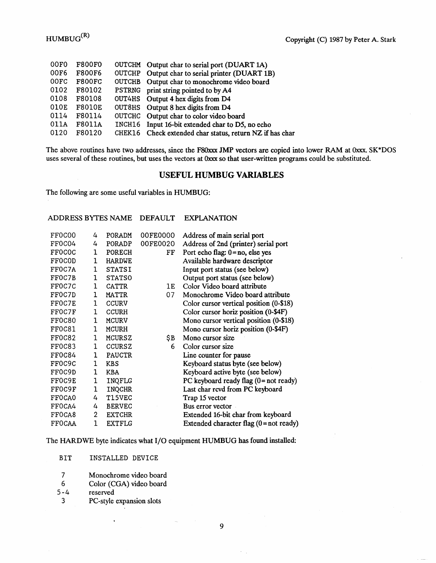| <b>F800F0</b> | OUTCHM Output char to serial port (DUART 1A)             |
|---------------|----------------------------------------------------------|
| <b>F800F6</b> | OUTCHP Output char to serial printer (DUART 1B)          |
| <b>F800FC</b> | OUTCHB Output char to monochrome video board             |
| F80102        | PSTRNG print string pointed to by A4                     |
| F80108        | OUT4HS Output 4 hex digits from D4                       |
| <b>F8010E</b> | OUT8HS Output 8 hex digits from D4                       |
| F80114        | OUTCHC Output char to color video board                  |
| F8011A        | INCH16 Input 16-bit extended char to D5, no echo         |
| F80120        | CHEK16 Check extended char status, return NZ if has char |
|               |                                                          |

The above routines have two addresses, since the F80xxx JMP vectors are copied into lower RAM at Oxxx. SK\*DOS uses several of these routines, but uses the vectors at Oxxx so that user-written programs could be substituted.

#### USEFUL HUMBUG VARIABLES

The following are some useful variables in HUMBUG:

#### ADDRESS BYTES NAME DEFAULT EXPLANATION

| 4              | PORADM        | 00FE0000 | Address of main serial port               |
|----------------|---------------|----------|-------------------------------------------|
| 4              | PORADP        | 00FE0020 | Address of 2nd (printer) serial port      |
| 1              | PORECH        | FF       | Port echo flag: $0 = no$ , else yes       |
| 1              | <b>HARDWE</b> |          | Available hardware descriptor             |
| 1              | <b>STATSI</b> |          | Input port status (see below)             |
| 1              | <b>STATSO</b> |          | Output port status (see below)            |
| 1              | <b>CATTR</b>  | 1E       | Color Video board attribute               |
| 1              | <b>MATTR</b>  | 07       | Monochrome Video board attribute          |
| 1              | CCURV         |          | Color cursor vertical position (0-\$18)   |
| 1              | <b>CCURH</b>  |          | Color cursor horiz position (0-\$4F)      |
| 1              | <b>MCURV</b>  |          | Mono cursor vertical position (0-\$18)    |
| 1              | <b>MCURH</b>  |          | Mono cursor horiz position (0-\$4F)       |
| 1              | <b>MCURSZ</b> | \$Β      | Mono cursor size                          |
| 1              | <b>CCURSZ</b> | 6        | Color cursor size                         |
| 1              | <b>PAUCTR</b> |          | Line counter for pause                    |
| 1              | <b>KBS</b>    |          | Keyboard status byte (see below)          |
| 1              | <b>KBA</b>    |          | Keyboard active byte (see below)          |
| 1              | INQFLG        |          | PC keyboard ready flag $(0 = not ready)$  |
| $\mathbf{1}$   | <b>INQCHR</b> |          | Last char revd from PC keyboard           |
| 4              | T15VEC        |          | Trap 15 vector                            |
| 4              | <b>BERVEC</b> |          | Bus error vector                          |
| $\overline{c}$ | <b>EXTCHR</b> |          | Extended 16-bit char from keyboard        |
| 1              | <b>EXTFLG</b> |          | Extended character flag $(0 = not ready)$ |
|                |               |          |                                           |

The HARDWE byte indicates what I/O equipment HUMBUG has found installed:

BIT INSTALLED DEVICE

- 7 Monochrome video board
- 6 Color (CGA) video board

reserved

3 PC-style expansion slots

 $\ddot{\phantom{0}}$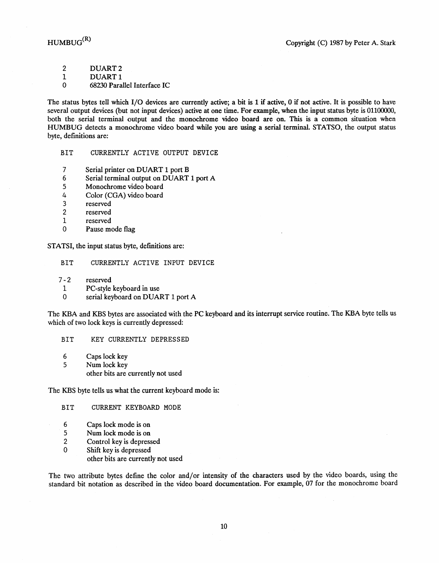2 DUART2

1 DUART1

o 68230 Parallel Interface IC

The status bytes tell which I/O devices are currently active; a bit is 1 if active, 0 if not active. It is possible to have several output devices (but not input devices) active at one time. For example, when the input status byte is 01100000, both the serial terminal output and the monochrome video board are on. This is a common situation when HUMBUG detects a monochrome video board while you are using a serial terminal. STATSO, the output status byte, definitions are:

BIT CURRENTLY ACTIVE OUTPUT DEVICE

- 7 Serial printer on DUART 1 port B
- 6 Serial terminal output on DUART 1 port A
- 5 Monochrome video board
- 4 Color (CGA) video board
- 3 reserved
- reserved
- 1 reserved
- o Pause mode flag

STATSI, the input status byte, defmitions are:

- BIT CURRENTLY ACTIVE INPUT DEVICE
- 7-2 reserved
- 1 PC-style keyboard in use
- o serial keyboard on DUART 1 port A

The KBA and KBS bytes are associated with the PC keyboard and its interrupt service routine. The KBA byte tells us which of two lock keys is currently depressed:

- BIT KEY CURRENTLY DEPRESSED
- 6 Caps lock key
- 5 Num lock key
	- other bits are currently not used

The KBS byte tells us what the current keyboard mode is:

- BIT CURRENT KEYBOARD MODE
- 6 Caps lock mode is on
- 5 Num lock mode is on<br>2 Control key is depress
- Control key is depressed
- o Shift key is depressed other bits are currently not used

The two attribute bytes define the color and/or intensity of the characters used by the video boards, using the standard bit notation as described in the video board documentation. For example, 07 for the monochrome board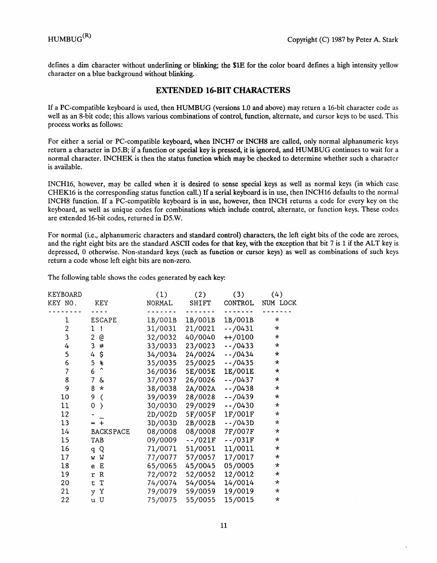defines a dim character without underlining or blinking; the \$lE for the color board defines a high intensity yellow character on a blue background without blinking.

#### EXTENDED **16-BIT** CHARACTERS

If a PC-compatible keyboard is used, then HUMBUG (versions 1.0 and above) may return a 16-bit character code as well as an 8-bit code; this allows various combinations of control, function, alternate, and cursor keys to be used. This process works as follows:

For either a serial or PC-compatible keyboard, when INCH7 or INCH8 are called, only normal alphanumeric keys return a character in DS.B; if a function or special key is pressed, it is ignored, and HUMBUG continues to wait for a normal character. INCHEK is then the status function which may be checked to determine whether such a character is available.

INCHI6, however, may be called when it is desired to sense special keys as well as normal keys (in which case CHEK16 is the corresponding status function call.) If a serial keyboard is in use, then INCH16 defaults to the normal INCH8 function. If a PC-compatible keyboard is in use, however, then INCH returns a code for every key on the keyboard, as well as unique codes for combinations which include control, alternate, or function keys. These codes are extended 16-bit codes, returned in DS.W.

For normal (i.e., alphanumeric characters and standard control) characters, the left eight bits of the code are zeroes, and the right eight bits are the standard ASCII codes for that key, with the exception that bit  $7$  is 1 if the ALT key is depressed, 0 otherwise. Non-standard keys (such as function or cursor keys) as well as combinations of such keys return a code whose left eight bits are non-zero.

The following table shows the codes generated by each key:

| KEYBOARD                |                           | (1)     | (2)      | (3)       | (4)          |
|-------------------------|---------------------------|---------|----------|-----------|--------------|
| KEY NO.                 | KEY                       | NORMAL  | SHIFT    | CONTROL   | NUM LOCK     |
|                         |                           |         |          |           |              |
| 1                       | <b>ESCAPE</b>             | 1B/001B | 1B/001B  | 1B/001B   | $\star$      |
| $\overline{\mathbf{c}}$ | 1!                        | 31/0031 | 21/0021  | $-70431$  | $\star$      |
| $\overline{3}$          | $2 \theta$                | 32/0032 | 40/0040  | $+$ /0100 | $\star$      |
| 4                       | 3#                        | 33/0033 | 23/0023  | $-70433$  | $\star$      |
| 5                       | $4\hat{S}$                | 34/0034 | 24/0024  | $-1/0434$ | $\star$      |
| 6                       | $\ast$<br>5               | 35/0035 | 25/0025  | $-70435$  | $\star$      |
| 7                       | $\ddot{\phantom{1}}$<br>6 | 36/0036 | 5E/005E  | 1E/001E   | $\star$      |
| 8                       | $7 \&$                    | 37/0037 | 26/0026  | $-1/0437$ | $\star$      |
| 9                       | $8 *$                     | 38/0038 | 2A/002A  | $-70438$  | $\star$      |
| 10                      | 9<br>$\overline{C}$       | 39/0039 | 28/0028  | $-1/0439$ | $\star$      |
| 11                      | 0<br>$\mathcal{E}$        | 30/0030 | 29/0029  | $-70430$  | $\star$      |
| $12 \overline{ }$       |                           | 2D/002D | 5F/005F  | 1F/001F   | $\star$      |
| 13                      | $= +$                     | 3D/003D | 2B/002B  | $-1/043D$ | $\star$      |
| 14                      | <b>BACKSPACE</b>          | 08/0008 | 08/0008  | 7F/007F   | $\star$      |
| 15                      | TAB                       | 09/0009 | $-7021F$ | $-$ /031F | $\star$      |
| 16                      | q Q                       | 71/0071 | 51/0051  | 11/0011   | $\star$      |
| 17                      | w W                       | 77/0077 | 57/0057  | 17/0017   | $\star$      |
| 18 <sup>°</sup>         | e E                       | 65/0065 | 45/0045  | 05/0005   | $\star$      |
| 19                      | r R                       | 72/0072 | 52/0052  | 12/0012   | $\star$      |
| 20                      | t T                       | 74/0074 | 54/0054  | 14/0014   | $\star$      |
| 21                      | y Y                       | 79/0079 | 59/0059  | 19/0019   | $\star$      |
| 22                      | u U                       | 75/0075 | 55/0055  | 15/0015   | $\mathbf{x}$ |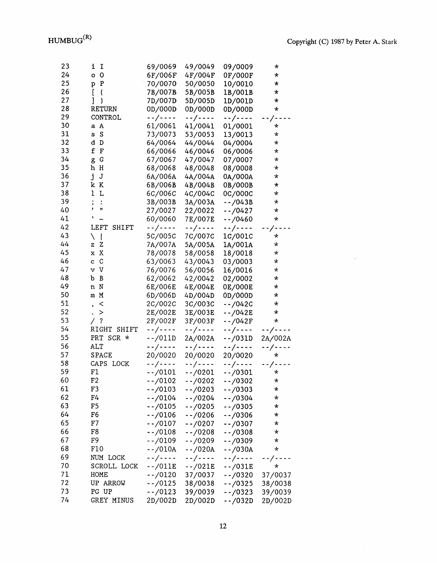$\bar{\mathcal{L}}$ 

| 23 | <b>I</b><br>i.                          | 69/0069    | 49/0049             | 09/0009         | $\star$    |
|----|-----------------------------------------|------------|---------------------|-----------------|------------|
| 24 | 0 <sup>0</sup>                          | 6F/006F    | 4F/004F             | 0F/000F         | $\star$    |
| 25 | ${\bf P}$<br>p                          | 70/0070    | 50/0050             | 10/0010         | *          |
| 26 | $\Gamma$<br>$\mathcal{L}_{\mathcal{L}}$ | 7B/007B    | 5B/005B             | 1B/001B         | *          |
| 27 | $\big)$<br>l                            | 7D/007D    | 5D/005D             | 1D/001D         | $\star$    |
| 28 | <b>RETURN</b>                           | 0D/000D    | 0D/000D             | 0D/000D         | $\star$    |
| 29 | CONTROL                                 |            |                     |                 |            |
| 30 |                                         | --/----    | --/----             | --/----         | $\sqrt{-}$ |
| 31 | a A                                     | 61/0061    | 41/0041             | 01/0001         | *          |
| 32 | s S                                     | 73/0073    | 53/0053             | 13/0013         | $\star$    |
| 33 | d D<br>£.                               | 64/0064    | 44/0044             | 04/0004         | *          |
| 34 | $\Gamma$                                | 66/0066    | 46/0046             | 06/0006         | ×.         |
|    | G<br>g                                  | 67/0067    | 47/0047             | 07/0007         | $\star$    |
| 35 | Н<br>h                                  | 68/0068    | 48/0048             | 08/0008         | $\star$    |
| 36 | j<br>J                                  | 6A/006A    | 4A/004A             | 0A/000A         | $\star$    |
| 37 | k<br>$\mathbf{K}$                       | 6B/006B    | 4B/004B             | 0B/000B         | ¥          |
| 38 | $\mathbf{1}$<br>L                       | 6C/006C    | 4C/004C             | 0C/000C         | $\star$    |
| 39 | $\vdots$<br>:                           | 3B/003B    | 3A/003A             | $-7043B$        | $\star$    |
| 40 | Ħ<br>,                                  | 27/0027    | 22/0022             | $-1/0427$       | ¥          |
| 41 | ١<br>$\ddot{ }$                         | 60/0060    | 7E/007E             | $-1/0460$       | $\star$    |
| 42 | <b>LEFT</b><br>SHIFT                    | --/----    | --/----             | --/----         | $\prime$   |
| 43 | $\mathbf{I}$<br>∖                       | 5C/005C    | 7C/007C             | 1C/001C         | $\star$    |
| 44 | $\mathbf z$<br>z                        | 7A/007A    | 5A/005A             | 1A/001A         | $\star$    |
| 45 | x X                                     | 78/0078    | 58/0058             | 18/0018         | $\star$    |
| 46 | $\mathsf C$<br>$\ddot{\textbf{c}}$      | 63/0063    | 43/0043             | 03/0003         | $\star$    |
| 47 | v V                                     | 76/0076    | 56/0056             | 16/0016         | $\star$    |
| 48 | B<br>b                                  | 62/0062    | 42/0042             | 02/0002         | $\star$    |
| 49 | n N                                     | 6E/006E    | 4E/004E             | 0E/000E         | *.         |
| 50 | m M                                     | 6D/006D    | 4D/004D             | 0D/000D         | $\star$    |
| 51 | $\,<\,$<br>,                            | 2C/002C    | 3C/003C             | $-1/042C$       | $\star$    |
| 52 | $\geq$<br>$\ddot{\phantom{0}}$          | 2E/002E    | 3E/003E             | $-7042E$        | $\star$    |
| 53 | $\boldsymbol{?}$<br>Γ                   | 2F/002F    | 3F/003F             | --/042F         | $\star$    |
| 54 | RIGHT<br>SHIFT                          | --/----    | --/----             | --/----         | --/----    |
| 55 | PRT SCR *                               | $-$ /011D  | 2A/002A             | $-/-/031D$      | 2A/002A    |
| 56 | <b>ALT</b>                              | --/----    | $-$ - $/$ - - - -   | --/----         | --/----    |
| 57 | <b>SPACE</b>                            | 20/0020    | 20/0020             | 20/0020         | $\star$    |
| 58 | CAPS LOCK                               | --/----    | $\cdot$ - / - - - - | --/----         | --/----    |
| 59 | F1                                      | $-.70101$  | $-70201$            | $-/-/0301$      | ×          |
| 60 | F2                                      | $-/-0102$  | $-/-/0202$          | $-1/0302$       | $\star$    |
| 61 | F3                                      | $-1/0103$  | $-1/0203$           | $-70303$        | $\star$    |
| 62 | F4                                      | $-1/0104$  | $-1/0204$           | $-1/0304$       | *          |
| 63 | F5                                      | $-/-/0105$ | $-70205$            | $-/-/0305$      | $\star$    |
| 64 | F6                                      | $-70106$   | $-/-/0206$          | $-1/0306$       | $\star$    |
| 65 | F7                                      | $-1/0107$  | $-1/0207$           | --/0307         | $^{\star}$ |
| 66 | F8                                      | $-1/0108$  | $-/-/0208$          | $-/-/0308$      | $\ast$     |
| 67 | F9                                      | $-1/0109$  | $-1/0209$           | $-1/0309$       | $^{\star}$ |
| 68 | F10                                     | $-/-/010A$ | $-1/020A$           | $-/-/030A$      | $^{\star}$ |
| 69 | NUM LOCK                                | --/----    | --/----             | $- - / - - - -$ | --/----    |
| 70 | SCROLL LOCK                             | $-$ /011E  | $-$ /021E           | $-$ /031E       | $\star$    |
| 71 | HOME                                    | $-1/0120$  | 37/0037             | $-1/0320$       | 37/0037    |
| 72 | UP ARROW                                | --/0125    | 38/0038             | $-70325$        | 38/0038    |
| 73 | PG UP                                   | --/0123    | 39/0039             | $-1/0323$       | 39/0039    |
| 74 | GREY MINUS                              | 2D/002D    | 2D/002D             | $-/-/032D$      | 2D/002D    |